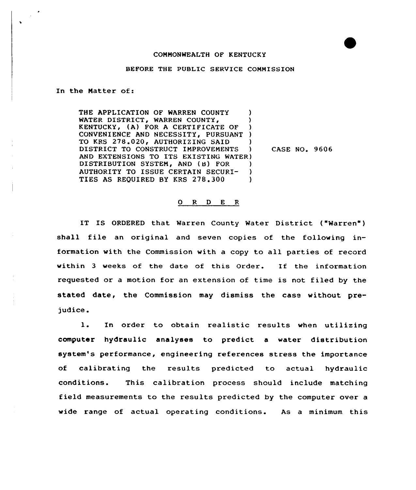## COMMONWEALTH OF KENTUCKY

## BEFORE THE PUBLIC SERVICE COMMISSION

In the Matter of:

 $\mathbf{v}$ 

THE APPLICATION OF WARREN COUNTY WATER DISTRICT, WARREN COUNTY, KENTUCKY, (A) FOR A CERTIFICATE OF ) CONVENIENCE AND NECESSITY, PURSUANT ) TO KRS 278.020, AUTHORIZING SAID DISTRICT TO CONSTRUCT IMPROVEMENTS ) AND EXTENSIONS TO ITS EXISTING WATER) DISTRIBUTION SYSTEM, AND (B) FOR )<br>AUTHORITY TO ISSUE CERTAIN SECURI- ) AUTHORITY TO ISSUE CERTAIN SECURI-TIES AS REQUIRED BY KRS 278.300 )

CASE NO. 9606

## 0 <sup>R</sup> <sup>D</sup> <sup>E</sup> <sup>R</sup>

IT IS ORDERED that Warren County Water District ("Warren" ) shall file an original and seven copies of the following information with the Commission with <sup>a</sup> copy to all parties of record within <sup>3</sup> weeks of the date of this Order. If the information requested or a motion for an extension of time is not filed by the stated date, the Commission may dismiss the case without pre judice.

l. In order to obtain realistic results when utilizing computer hydraulic analyses to predict a water distribution system's performance, engineering references stress the importance of calibrating the results predicted to actual hydraulic conditions. This calibration process should include matching field measurements to the results predicted by the computer over a wide range of actual operating conditions. As a minimum this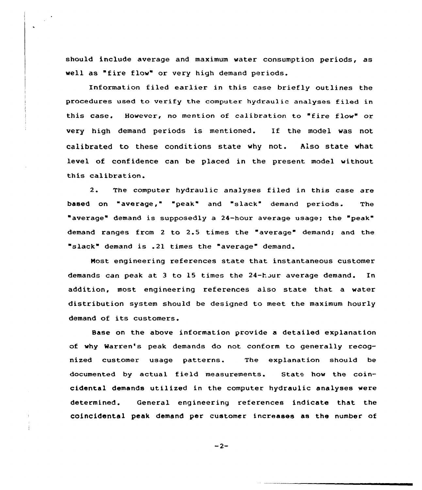should include average and maximum water consumption periods, as well as "fire flow" or very high demand periods.

Information filed earlier in this case briefly outlines the procedures used to verify the computer hydraulic analyses filed in this case. However, no mention of calibration to "fire flow" or very high demand periods is mentioned. If the model was not calibrated to these conditions state why not. Also state what level of confidence can be placed in the present model without this calibration.

2. The computer hydraulic analyses filed in this case are based on "average," "peak" and "slack" demand periods. The average" demand is supposedly a 24-hour average usage; the "peak" demand ranges from <sup>2</sup> to 2.5 times the "average" demand; and the slack" demand is .21 times the "average" demand.

Most engineering references state that instantaneous customer demands can peak at 3 to 15 times the 24-hour average demand. In addition, most engineering references also state that a water distribution system should be designed to meet the maximum hourly demand of its customers.

Base on the above information provide a detailed explanation of why Marren's peak demands do not conform to generally recognized customer usage patterns. The explanation should be documented by actual field measurements. State how the coincidental demands utilized in the computer hydraulic analyses were determined. General engineering references indicate that the coincidental peak demand per customer increases as the number of

 $-2-$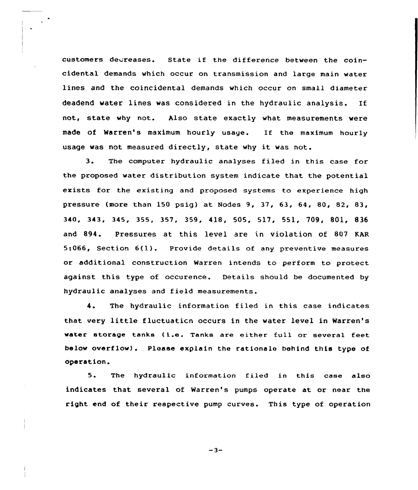customers decreases. State if the difference between the coincidental demands which occur on transmission and large main water lines and the coincidental demands which occur on small diameter deadend water lines was considered in the hydraulic analysis. If not, state why not. Also state exactly what measurements were made of Warren's maximum hourly usage. If the maximum hourly usage was not measured directly, state why it was not.

3. The computer hydraulic analyses filed in this case for the proposed water distribution system indicate that the potential exists for the existing and proposed systems to experience high pressure (more than 150 psig) at Nodes 9, 37, 63, 64, 80, 82, 83, 340, 343, 345, 355, 357, 359, 418, 505, 517, 551, 709, 801, 836 and 894. Pressures at this level are in violation of 807 KAR 5:066, Section 6(l). Provide details of any preventive measures or additional construction Warren intends to perform to protect against this type of occurence. Details should be documented by hydraulic analyses and field measurements.

4. The hydraulic information filed in this case indicates that very little fluctuaticn occurs in the water level in Warren' water storage tanks (i.e. Tanks are either full or several feet below overflow) . Please explain the rationale behind this type of operation.

5. The hydraulic information filed in this case also indicates that several of Warren's pumps operate at or near the right end of their respective pump curves. This type of operation

 $-3-$